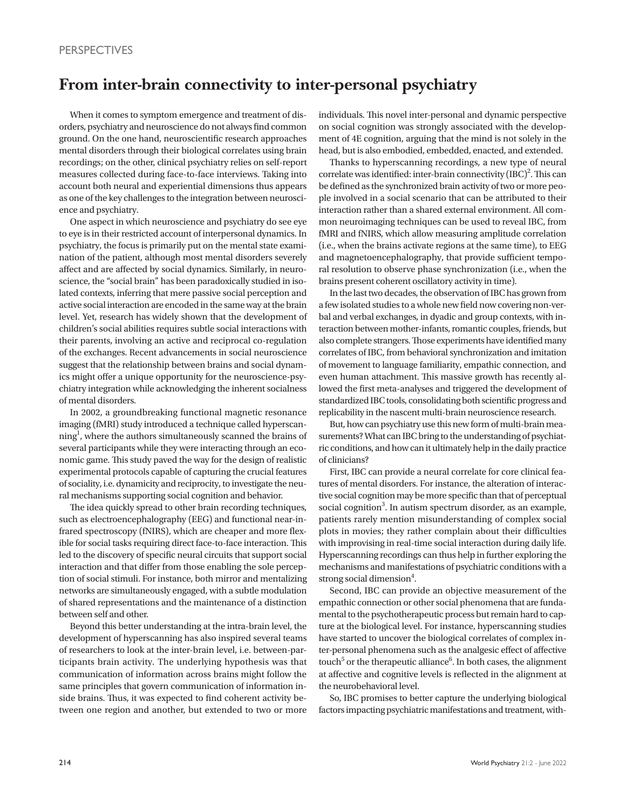## **From inter-brain connectivity to inter-personal psychiatry**

When it comes to symptom emergence and treatment of disorders, psychiatry and neuroscience do not always find common ground. On the one hand, neuroscientific research approaches mental disorders through their biological correlates using brain recordings; on the other, clinical psychiatry relies on self-report measures collected during face-to-face interviews. Taking into account both neural and experiential dimensions thus appears as one of the key challenges to the integration between neuroscience and psychiatry.

One aspect in which neuroscience and psychiatry do see eye to eye is in their restricted account of interpersonal dynamics. In psychiatry, the focus is primarily put on the mental state examination of the patient, although most mental disorders severely affect and are affected by social dynamics. Similarly, in neuroscience, the "social brain" has been paradoxically studied in isolated contexts, inferring that mere passive social perception and active social interaction are encoded in the same way at the brain level. Yet, research has widely shown that the development of children's social abilities requires subtle social interactions with their parents, involving an active and reciprocal co-regulation of the exchanges. Recent advancements in social neuroscience suggest that the relationship between brains and social dynamics might offer a unique opportunity for the neuroscience-psychiatry integration while acknowledging the inherent socialness of mental disorders.

In 2002, a groundbreaking functional magnetic resonance imaging (fMRI) study introduced a technique called hyperscanning<sup>1</sup>, where the authors simultaneously scanned the brains of several participants while they were interacting through an economic game. This study paved the way for the design of realistic experimental protocols capable of capturing the crucial features of sociality, i.e. dynamicity and reciprocity, to investigate the neural mechanisms supporting social cognition and behavior.

The idea quickly spread to other brain recording techniques, such as electroencephalography (EEG) and functional near-infrared spectroscopy (fNIRS), which are cheaper and more flexible for social tasks requiring direct face-to-face interaction. This led to the discovery of specific neural circuits that support social interaction and that differ from those enabling the sole perception of social stimuli. For instance, both mirror and mentalizing networks are simultaneously engaged, with a subtle modulation of shared representations and the maintenance of a distinction between self and other.

Beyond this better understanding at the intra-brain level, the development of hyperscanning has also inspired several teams of researchers to look at the inter-brain level, i.e. between-participants brain activity. The underlying hypothesis was that communication of information across brains might follow the same principles that govern communication of information inside brains. Thus, it was expected to find coherent activity between one region and another, but extended to two or more

individuals. This novel inter-personal and dynamic perspective on social cognition was strongly associated with the development of 4E cognition, arguing that the mind is not solely in the head, but is also embodied, embedded, enacted, and extended.

Thanks to hyperscanning recordings, a new type of neural correlate was identified: inter-brain connectivity  $({\rm IBC})^2$ . This can be defined as the synchronized brain activity of two or more people involved in a social scenario that can be attributed to their interaction rather than a shared external environment. All common neuroimaging techniques can be used to reveal IBC, from fMRI and fNIRS, which allow measuring amplitude correlation (i.e., when the brains activate regions at the same time), to EEG and magnetoencephalography, that provide sufficient temporal resolution to observe phase synchronization (i.e., when the brains present coherent oscillatory activity in time).

In the last two decades, the observation of IBC has grown from a few isolated studies to a whole new field now covering non-verbal and verbal exchanges, in dyadic and group contexts, with interaction between mother-infants, romantic couples, friends, but also complete strangers. Those experiments have identified many correlates of IBC, from behavioral synchronization and imitation of movement to language familiarity, empathic connection, and even human attachment. This massive growth has recently allowed the first meta-analyses and triggered the development of standardized IBC tools, consolidating both scientific progress and replicability in the nascent multi-brain neuroscience research.

But, how can psychiatry use this new form of multi-brain measurements? What can IBC bring to the understanding of psychiatric conditions, and how can it ultimately help in the daily practice of clinicians?

First, IBC can provide a neural correlate for core clinical features of mental disorders. For instance, the alteration of interactive social cognition may be more specific than that of perceptual social cognition<sup>3</sup>. In autism spectrum disorder, as an example, patients rarely mention misunderstanding of complex social plots in movies; they rather complain about their difficulties with improvising in real-time social interaction during daily life. Hyperscanning recordings can thus help in further exploring the mechanisms and manifestations of psychiatric conditions with a strong social dimension<sup>4</sup>.

Second, IBC can provide an objective measurement of the empathic connection or other social phenomena that are fundamental to the psychotherapeutic process but remain hard to capture at the biological level. For instance, hyperscanning studies have started to uncover the biological correlates of complex inter-personal phenomena such as the analgesic effect of affective touch $^5$  or the therapeutic alliance $^6$ . In both cases, the alignment at affective and cognitive levels is reflected in the alignment at the neurobehavioral level.

So, IBC promises to better capture the underlying biological factors impacting psychiatric manifestations and treatment, with